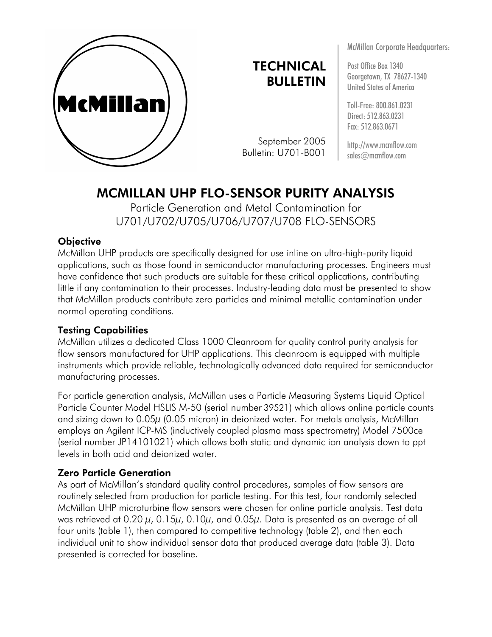

# **TECHNICAL** BULLETIN

September 2005 Bulletin: U701-B001

McMillan Corporate Headquarters:

Post Office Box 1340 Georgetown, TX 78627-1340 United States of America

Toll-Free: 800.861.0231 Direct: 512.863.0231 Fax: 512.863.0671

http://www.mcmflow.com sales@mcmflow.com

# MCMILLAN UHP FLO-SENSOR PURITY ANALYSIS

Particle Generation and Metal Contamination for U701/U702/U705/U706/U707/U708 FLO-SENSORS

# **Objective**

McMillan UHP products are specifically designed for use inline on ultra-high-purity liquid applications, such as those found in semiconductor manufacturing processes. Engineers must have confidence that such products are suitable for these critical applications, contributing little if any contamination to their processes. Industry-leading data must be presented to show that McMillan products contribute zero particles and minimal metallic contamination under normal operating conditions.

# Testing Capabilities

McMillan utilizes a dedicated Class 1000 Cleanroom for quality control purity analysis for flow sensors manufactured for UHP applications. This cleanroom is equipped with multiple instruments which provide reliable, technologically advanced data required for semiconductor manufacturing processes.

For particle generation analysis, McMillan uses a Particle Measuring Systems Liquid Optical Particle Counter Model HSLIS M-50 (serial number 39521) which allows online particle counts and sizing down to 0.05 $\mu$  (0.05 micron) in deionized water. For metals analysis, McMillan employs an Agilent ICP-MS (inductively coupled plasma mass spectrometry) Model 7500ce (serial number JP14101021) which allows both static and dynamic ion analysis down to ppt levels in both acid and deionized water.

# Zero Particle Generation

As part of McMillan's standard quality control procedures, samples of flow sensors are routinely selected from production for particle testing. For this test, four randomly selected McMillan UHP microturbine flow sensors were chosen for online particle analysis. Test data was retrieved at 0.20  $\mu$ , 0.15 $\mu$ , 0.10 $\mu$ , and 0.05 $\mu$ . Data is presented as an average of all four units (table 1), then compared to competitive technology (table 2), and then each individual unit to show individual sensor data that produced average data (table 3). Data presented is corrected for baseline.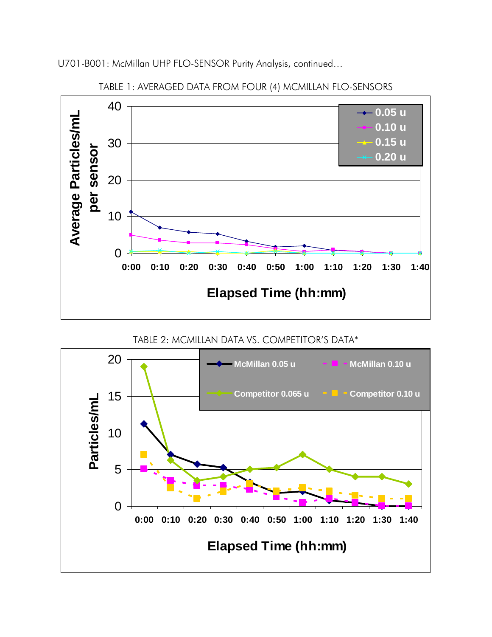

#### TABLE 1: AVERAGED DATA FROM FOUR (4) MCMILLAN FLO-SENSORS

TABLE 2: MCMILLAN DATA VS. COMPETITOR'S DATA\*

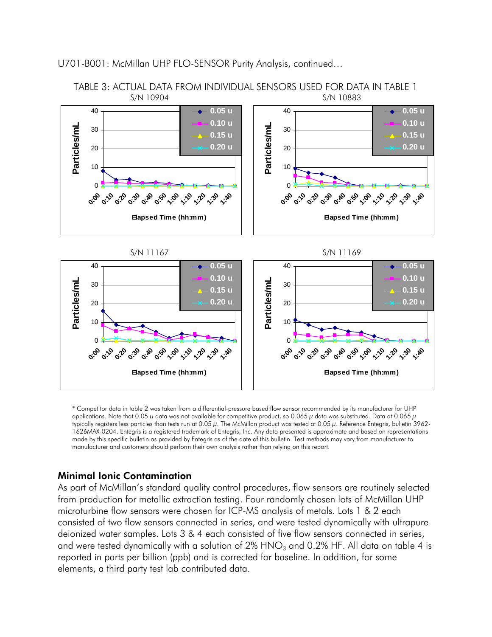

\* Competitor data in table 2 was taken from a differential-pressure based flow sensor recommended by its manufacturer for UHP applications. Note that 0.05  $\mu$  data was not available for competitive product, so 0.065  $\mu$  data was substituted. Data at 0.065  $\mu$ typically registers less particles than tests run at 0.05 μ. The McMillan product was tested at 0.05 μ. Reference Entegris, bulletin 3962- 1626MAX-0204. Entegris is a registered trademark of Entegris, Inc. Any data presented is approximate and based on representations made by this specific bulletin as provided by Entegris as of the date of this bulletin. Test methods may vary from manufacturer to manufacturer and customers should perform their own analysis rather than relying on this report.

#### Minimal Ionic Contamination

As part of McMillan's standard quality control procedures, flow sensors are routinely selected from production for metallic extraction testing. Four randomly chosen lots of McMillan UHP microturbine flow sensors were chosen for ICP-MS analysis of metals. Lots 1 & 2 each consisted of two flow sensors connected in series, and were tested dynamically with ultrapure deionized water samples. Lots 3 & 4 each consisted of five flow sensors connected in series, and were tested dynamically with a solution of  $2\%$  HNO<sub>3</sub> and 0.2% HF. All data on table 4 is reported in parts per billion (ppb) and is corrected for baseline. In addition, for some elements, a third party test lab contributed data.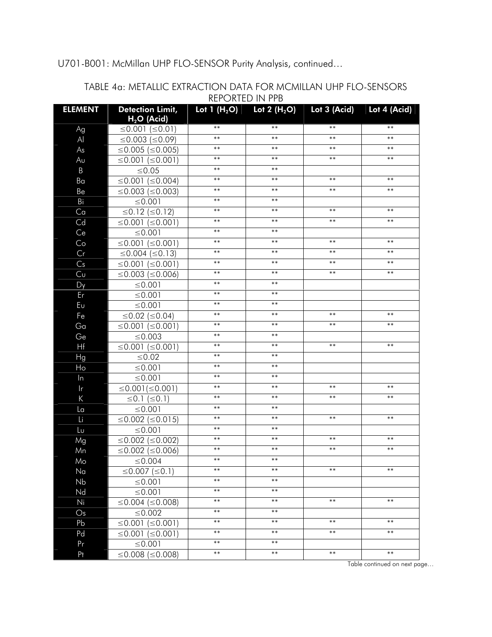|                |                                         |            | ILI VIILD III II D            |              |              |
|----------------|-----------------------------------------|------------|-------------------------------|--------------|--------------|
| <b>ELEMENT</b> | <b>Detection Limit,</b><br>$H2O$ (Acid) |            | Lot 1 $(H_2O)$ Lot 2 $(H_2O)$ | Lot 3 (Acid) | Lot 4 (Acid) |
| Ag             | ≤0.001 (≤0.01)                          | $***$      | $***$                         | $***$        | $***$        |
| $\mathsf{A}$   | ≤0.003 (≤0.09)                          | $***$      | $***$                         | $***$        | $***$        |
| As             | ≤0.005 (≤0.005)                         | $***$      | $***$                         | $***$        | $***$        |
| Au             | ≤0.001 (≤0.001)                         | $***$      | $***$                         | $***$        | $***$        |
| $\mathsf B$    | $\leq 0.05$                             | $***$      | $***$                         |              |              |
| Ba             | ≤0.001 (≤0.004)                         | $***$      | $***$                         | $***$        | $***$        |
| Be             | $\leq$ 0.003 ( $\leq$ 0.003)            | $***$      | $***$                         | $***$        | $***$        |
| Bi             | ≤ $0.001$                               | $***$      | $***$                         |              |              |
| Ca             | ≤0.12 (≤0.12)                           | $***$      | $***$                         | $**$         | $***$        |
| Cd             | ≤0.001 (≤0.001)                         | $***$      | $***$                         | $***$        | $***$        |
| Ce             | ≤ $0.001$                               | $***$      | $***$                         |              |              |
| Co             | ≤0.001 (≤0.001)                         | $***$      | $***$                         | $***$        | $***$        |
| Cr             | ≤0.004 (≤0.13)                          | $***$      | $***$                         | $***$        | $***$        |
| Cs             | $\leq 0.001$ ( $\leq 0.001$ )           | $***$      | $***$                         | $***$        | $***$        |
| Cu             | $\leq$ 0.003 ( $\leq$ 0.006)            | $***$      | $***$                         | $***$        | $***$        |
| Dy             | ≤0.001                                  | $***$      | $***$                         |              |              |
| Er             | ≤ $0.001$                               | $***$      | $***$                         |              |              |
| Eυ             | ≤ $0.001$                               | $***$      | $***$                         |              |              |
| Fe             | ≤0.02 (≤0.04)                           | $***$      | $***$                         | $***$        | $***$        |
| Ga             | ≤0.001 (≤0.001)                         | $***$      | $***$                         | $***$        | $***$        |
| Ge             | $\leq 0.003$                            | $***$      | $***$                         |              |              |
| Hf             | ≤0.001 (≤0.001)                         | $***$      | $***$                         | $***$        | $***$        |
| Hg             | $≤0.02$                                 | $***$      | $***$                         |              |              |
| Ho             | ≤0.001                                  | $***$      | $***$                         |              |              |
| $\ln$          | ≤ $0.001$                               | $***$      | $***$                         |              |              |
| $\mathsf{r}$   | $\leq$ 0.001( $\leq$ 0.001)             | $***$      | $***$                         | $***$        | $***$        |
| $\sf K$        | $\leq$ 0.1 $(\leq$ 0.1)                 | $***$      | $***$                         | $***$        | $***$        |
| La             | ≤0.001                                  | $***$      | $***$                         |              |              |
| Li             | ≤0.002 (≤0.015)                         | $***$      | $***$                         | $***$        | $***$        |
| Lu             | ≤ $0.001$                               | $***$      | $***$                         |              |              |
| Mg             | $\leq$ 0.002 ( $\leq$ 0.002)            | $***$      | $***$                         | $***$        | $***$        |
| Mn             | $\leq$ 0.002 ( $\leq$ 0.006)            | $***$      | $***$                         | $***$        | $***$        |
| Mo             | ≤ 0.004                                 | $***$      | $***$                         |              |              |
| Na             | ≤0.007 (≤0.1)                           | $***$      | $***$                         | $***$        | $***$        |
| Nb             | ≤ $0.001$                               | $***$      | $***$                         |              |              |
| Nd             | ≤ $0.001$                               | $***$      | $***$                         |              |              |
| Ni             | ≤0.004 (≤0.008)                         | $***$      | $***$                         | $***$        | $***$        |
| $\mathsf{Os}$  | $\leq 0.002$                            | $***$      | $***$                         |              |              |
| Pb             | ≤0.001 (≤0.001)                         | $***$      | $***$                         | $***$        | $***$        |
| Pd             | ≤0.001 (≤0.001)                         | $***$      | $***$                         | $***$        | $***$        |
| Pr             | ≤0.001                                  | $***$      | $***$                         |              |              |
| Pt             | ≤0.008 (≤0.008)                         | $\ast\ast$ | $***$                         | $***$        | $\ast\ast$   |

#### TABLE 4a: METALLIC EXTRACTION DATA FOR MCMILLAN UHP FLO-SENSORS REPORTED IN PPB

Table continued on next page…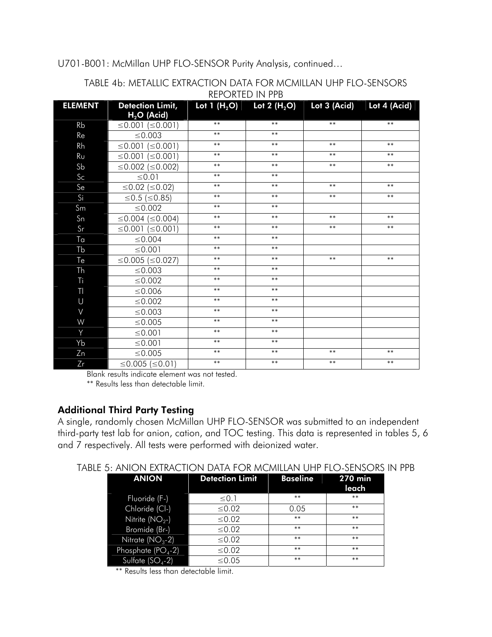| <b>ELEMENT</b> | Detection Limit, Lot 1 $(H_2O)$ Lot 2 $(H_2O)$ Lot 3 (Acid) Lot 4 (Acid) |       |       |       |       |
|----------------|--------------------------------------------------------------------------|-------|-------|-------|-------|
|                | $H2O$ (Acid)                                                             |       |       |       |       |
| Rb             | ≤0.001 (≤0.001)                                                          | $***$ | $***$ | $***$ | $***$ |
| Re             | $\leq$ 0.003                                                             | $***$ | $***$ |       |       |
| Rh             | ≤0.001 (≤0.001)                                                          | $***$ | $***$ | $***$ | $***$ |
| Rυ             | ≤0.001 (≤0.001)                                                          | $***$ | $***$ | $***$ | $***$ |
| S <sub>b</sub> | ≤0.002 (≤0.002)                                                          | $***$ | $***$ | $***$ | $***$ |
| Sc             | ${\leq}0.01$                                                             | $***$ | $***$ |       |       |
| Se             | ≤0.02 (≤0.02)                                                            | $***$ | $***$ | $***$ | $***$ |
| Si             | ≤0.5 (≤0.85)                                                             | $***$ | $***$ | $***$ | $***$ |
| Sm             | $\leq$ 0.002                                                             | $***$ | $***$ |       |       |
| S <sub>n</sub> | ≤0.004 (≤0.004)                                                          | $***$ | $***$ | $***$ | $***$ |
| Sr             | ≤0.001 (≤0.001)                                                          | $***$ | $***$ | $***$ | $***$ |
| Ta             | $\leq$ 0.004                                                             | $***$ | $***$ |       |       |
| Tb             | ≤0.001                                                                   | $***$ | $***$ |       |       |
| Te             | ≤0.005 (≤0.027)                                                          | $***$ | $***$ | $***$ | $***$ |
| Th             | $\leq 0.003$                                                             | $***$ | $***$ |       |       |
| Ti             | $\leq 0.002$                                                             | $***$ | $***$ |       |       |
| TI             | ≤0.006                                                                   | $***$ | $***$ |       |       |
| $\cup$         | $\leq 0.002$                                                             | $***$ | $***$ |       |       |
| $\vee$         | $\leq 0.003$                                                             | $***$ | $***$ |       |       |
| W              | ≤0.005                                                                   | $***$ | $***$ |       |       |
| Y              | ≤0.001                                                                   | $***$ | $***$ |       |       |
| Yb             | ≤0.001                                                                   | $***$ | $***$ |       |       |
| Zn             | ≤0.005                                                                   | $***$ | $***$ | $***$ | $***$ |
| Zr             | ≤0.005 (≤0.01)                                                           | $***$ | $***$ | $***$ | $***$ |

#### TABLE 4b: METALLIC EXTRACTION DATA FOR MCMILLAN UHP FLO-SENSORS REPORTED IN PPB

Blank results indicate element was not tested.

\*\* Results less than detectable limit.

### Additional Third Party Testing

A single, randomly chosen McMillan UHP FLO-SENSOR was submitted to an independent third-party test lab for anion, cation, and TOC testing. This data is represented in tables 5, 6 and 7 respectively. All tests were performed with deionized water.

| TABLE 5: ANION EXTRACTION DATA FOR MCMILLAN UHP FLO-SENSORS IN PPB |
|--------------------------------------------------------------------|
|--------------------------------------------------------------------|

| <b>ANION</b>        | <b>Detection Limit</b> | <b>Baseline</b> | <b>270 min</b> |
|---------------------|------------------------|-----------------|----------------|
|                     |                        |                 | leach          |
| Fluoride (F-)       | $\leq 0.1$             | $***$           | $***$          |
| Chloride (Cl-)      | $≤0.02$                | 0.05            | $***$          |
| Nitrite ( $NO2$ -)  | $\leq 0.02$            | $***$           | $***$          |
| Bromide (Br-)       | ≤ 0.02                 | $***$           | $***$          |
| Nitrate $(NO3-2)$   | $\leq 0.02$            | $***$           | $***$          |
| Phosphate $(PO4-2)$ | $≤0.02$                | $***$           | $***$          |
| Sulfate $(SO4-2)$   | $\leq 0.05$            | $***$           | $***$          |

\*\* Results less than detectable limit.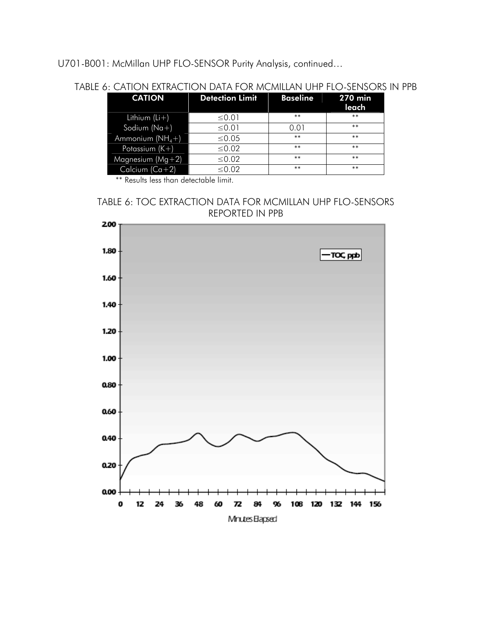# TABLE 6: CATION EXTRACTION DATA FOR MCMILLAN UHP FLO-SENSORS IN PPB

| <b>CATION</b>      | <b>Detection Limit</b> | <b>Baseline</b> | <b>270 min</b> |
|--------------------|------------------------|-----------------|----------------|
|                    |                        |                 | leach          |
| Lithium $(Li+)$    | ≤ $0.01$               | $***$           | $***$          |
| Sodium ( $Na+$ )   | ≤ $0.01$               | 0.01            | $***$          |
| Ammonium $(NH_4+)$ | ≤ $0.05$               | $***$           | $***$          |
| Potassium $(K+)$   | $\leq 0.02$            | $***$           | $***$          |
| Magnesium $(Mg+2)$ | $≤0.02$                | $***$           | $***$          |
| Calcium $(Ca+2)$   | $\leq 0.02$            | $***$           | $***$          |

\*\* Results less than detectable limit.

# TABLE 6: TOC EXTRACTION DATA FOR MCMILLAN UHP FLO-SENSORS REPORTED IN PPB